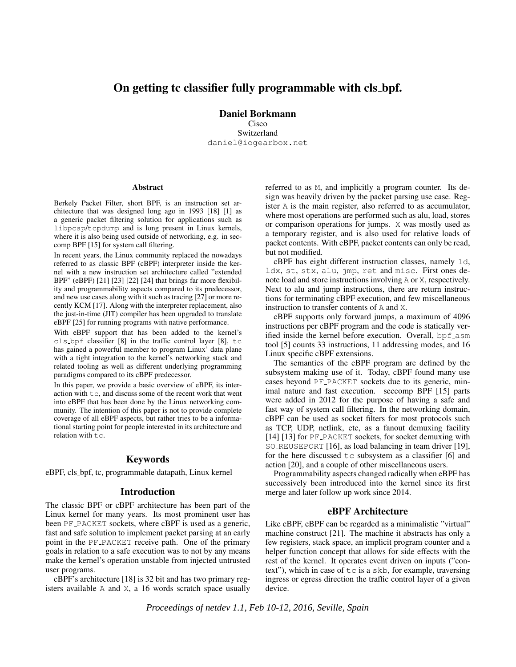# On getting tc classifier fully programmable with cls bpf.

Daniel Borkmann Cisco Switzerland daniel@iogearbox.net

#### Abstract

Berkely Packet Filter, short BPF, is an instruction set architecture that was designed long ago in 1993 [18] [1] as a generic packet filtering solution for applications such as libpcap/tcpdump and is long present in Linux kernels, where it is also being used outside of networking, e.g. in seccomp BPF [15] for system call filtering.

In recent years, the Linux community replaced the nowadays referred to as classic BPF (cBPF) interpreter inside the kernel with a new instruction set architecture called "extended BPF" (eBPF) [21] [23] [22] [24] that brings far more flexibility and programmability aspects compared to its predecessor, and new use cases along with it such as tracing [27] or more recently KCM [17]. Along with the interpreter replacement, also the just-in-time (JIT) compiler has been upgraded to translate eBPF [25] for running programs with native performance.

With eBPF support that has been added to the kernel's cls bpf classifier [8] in the traffic control layer [8], tc has gained a powerful member to program Linux' data plane with a tight integration to the kernel's networking stack and related tooling as well as different underlying programming paradigms compared to its cBPF predecessor.

In this paper, we provide a basic overview of eBPF, its interaction with tc, and discuss some of the recent work that went into eBPF that has been done by the Linux networking community. The intention of this paper is not to provide complete coverage of all eBPF aspects, but rather tries to be a informational starting point for people interested in its architecture and relation with tc.

### Keywords

eBPF, cls bpf, tc, programmable datapath, Linux kernel

### Introduction

The classic BPF or cBPF architecture has been part of the Linux kernel for many years. Its most prominent user has been PF\_PACKET sockets, where cBPF is used as a generic, fast and safe solution to implement packet parsing at an early point in the PF\_PACKET receive path. One of the primary goals in relation to a safe execution was to not by any means make the kernel's operation unstable from injected untrusted user programs.

cBPF's architecture [18] is 32 bit and has two primary registers available A and X, a 16 words scratch space usually referred to as M, and implicitly a program counter. Its design was heavily driven by the packet parsing use case. Register A is the main register, also referred to as accumulator, where most operations are performed such as alu, load, stores or comparison operations for jumps. X was mostly used as a temporary register, and is also used for relative loads of packet contents. With cBPF, packet contents can only be read, but not modified.

cBPF has eight different instruction classes, namely ld, ldx, st, stx, alu, jmp, ret and misc. First ones denote load and store instructions involving A or X, respectively. Next to alu and jump instructions, there are return instructions for terminating cBPF execution, and few miscellaneous instruction to transfer contents of A and X.

cBPF supports only forward jumps, a maximum of 4096 instructions per cBPF program and the code is statically verified inside the kernel before execution. Overall, bpf asm tool [5] counts 33 instructions, 11 addressing modes, and 16 Linux specific cBPF extensions.

The semantics of the cBPF program are defined by the subsystem making use of it. Today, cBPF found many use cases beyond PF PACKET sockets due to its generic, minimal nature and fast execution. seccomp BPF [15] parts were added in 2012 for the purpose of having a safe and fast way of system call filtering. In the networking domain, cBPF can be used as socket filters for most protocols such as TCP, UDP, netlink, etc, as a fanout demuxing facility [14] [13] for PF\_PACKET sockets, for socket demuxing with SO REUSEPORT [16], as load balancing in team driver [19], for the here discussed  $\pm c$  subsystem as a classifier [6] and action [20], and a couple of other miscellaneous users.

Programmability aspects changed radically when eBPF has successively been introduced into the kernel since its first merge and later follow up work since 2014.

### eBPF Architecture

Like cBPF, eBPF can be regarded as a minimalistic "virtual" machine construct [21]. The machine it abstracts has only a few registers, stack space, an implicit program counter and a helper function concept that allows for side effects with the rest of the kernel. It operates event driven on inputs ("context"), which in case of tc is a skb, for example, traversing ingress or egress direction the traffic control layer of a given device.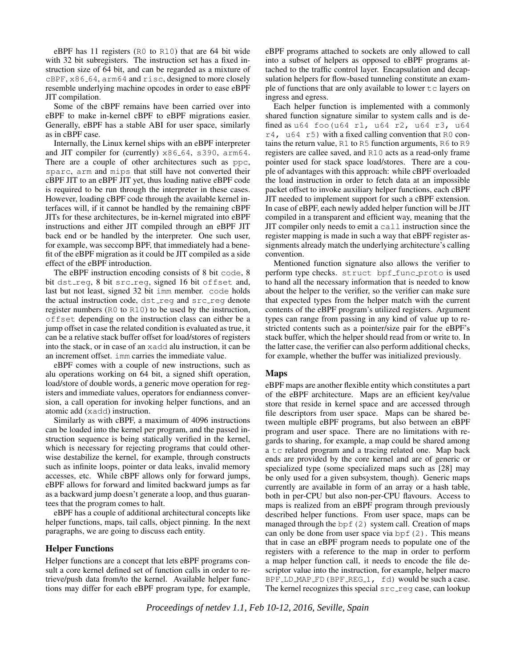eBPF has 11 registers (R0 to R10) that are 64 bit wide with 32 bit subregisters. The instruction set has a fixed instruction size of 64 bit, and can be regarded as a mixture of  $CBPF$ ,  $x86-64$ ,  $arm64$  and  $rise$ , designed to more closely resemble underlying machine opcodes in order to ease eBPF JIT compilation.

Some of the cBPF remains have been carried over into eBPF to make in-kernel cBPF to eBPF migrations easier. Generally, eBPF has a stable ABI for user space, similarly as in cBPF case.

Internally, the Linux kernel ships with an eBPF interpreter and JIT compiler for (currently)  $x86-64$ ,  $s390$ ,  $arm64$ . There are a couple of other architectures such as ppc, sparc, arm and mips that still have not converted their cBPF JIT to an eBPF JIT yet, thus loading native eBPF code is required to be run through the interpreter in these cases. However, loading cBPF code through the available kernel interfaces will, if it cannot be handled by the remaining cBPF JITs for these architectures, be in-kernel migrated into eBPF instructions and either JIT compiled through an eBPF JIT back end or be handled by the interpreter. One such user, for example, was seccomp BPF, that immediately had a benefit of the eBPF migration as it could be JIT compiled as a side effect of the eBPF introduction.

The eBPF instruction encoding consists of 8 bit code, 8 bit dst\_req, 8 bit src\_req, signed 16 bit offset and, last but not least, signed 32 bit imm member. code holds the actual instruction code, dstreg and srcreg denote register numbers (R0 to R10) to be used by the instruction, offset depending on the instruction class can either be a jump offset in case the related condition is evaluated as true, it can be a relative stack buffer offset for load/stores of registers into the stack, or in case of an xadd alu instruction, it can be an increment offset. imm carries the immediate value.

eBPF comes with a couple of new instructions, such as alu operations working on 64 bit, a signed shift operation, load/store of double words, a generic move operation for registers and immediate values, operators for endianness conversion, a call operation for invoking helper functions, and an atomic add (xadd) instruction.

Similarly as with cBPF, a maximum of 4096 instructions can be loaded into the kernel per program, and the passed instruction sequence is being statically verified in the kernel, which is necessary for rejecting programs that could otherwise destabilize the kernel, for example, through constructs such as infinite loops, pointer or data leaks, invalid memory accesses, etc. While cBPF allows only for forward jumps, eBPF allows for forward and limited backward jumps as far as a backward jump doesn't generate a loop, and thus guarantees that the program comes to halt.

eBPF has a couple of additional architectural concepts like helper functions, maps, tail calls, object pinning. In the next paragraphs, we are going to discuss each entity.

### Helper Functions

Helper functions are a concept that lets eBPF programs consult a core kernel defined set of function calls in order to retrieve/push data from/to the kernel. Available helper functions may differ for each eBPF program type, for example, eBPF programs attached to sockets are only allowed to call into a subset of helpers as opposed to eBPF programs attached to the traffic control layer. Encapsulation and decapsulation helpers for flow-based tunneling constitute an example of functions that are only available to lower  $\pm c$  layers on ingress and egress.

Each helper function is implemented with a commonly shared function signature similar to system calls and is defined as u64 foo(u64 r1, u64 r2, u64 r3, u64  $r4$ , u64 r5) with a fixed calling convention that R0 contains the return value, R1 to R5 function arguments, R6 to R9 registers are callee saved, and R10 acts as a read-only frame pointer used for stack space load/stores. There are a couple of advantages with this approach: while cBPF overloaded the load instruction in order to fetch data at an impossible packet offset to invoke auxiliary helper functions, each cBPF JIT needed to implement support for such a cBPF extension. In case of eBPF, each newly added helper function will be JIT compiled in a transparent and efficient way, meaning that the JIT compiler only needs to emit a call instruction since the register mapping is made in such a way that eBPF register assignments already match the underlying architecture's calling convention.

Mentioned function signature also allows the verifier to perform type checks. struct bpf\_func\_proto is used to hand all the necessary information that is needed to know about the helper to the verifier, so the verifier can make sure that expected types from the helper match with the current contents of the eBPF program's utilized registers. Argument types can range from passing in any kind of value up to restricted contents such as a pointer/size pair for the eBPF's stack buffer, which the helper should read from or write to. In the latter case, the verifier can also perform additional checks, for example, whether the buffer was initialized previously.

## Maps

eBPF maps are another flexible entity which constitutes a part of the eBPF architecture. Maps are an efficient key/value store that reside in kernel space and are accessed through file descriptors from user space. Maps can be shared between multiple eBPF programs, but also between an eBPF program and user space. There are no limitations with regards to sharing, for example, a map could be shared among a tc related program and a tracing related one. Map back ends are provided by the core kernel and are of generic or specialized type (some specialized maps such as [28] may be only used for a given subsystem, though). Generic maps currently are available in form of an array or a hash table, both in per-CPU but also non-per-CPU flavours. Access to maps is realized from an eBPF program through previously described helper functions. From user space, maps can be managed through the  $bpf(2)$  system call. Creation of maps can only be done from user space via  $bpf(2)$ . This means that in case an eBPF program needs to populate one of the registers with a reference to the map in order to perform a map helper function call, it needs to encode the file descriptor value into the instruction, for example, helper macro BPF LD MAP FD (BPF REG 1, fd) would be such a case. The kernel recognizes this special  $src\_reg$  case, can lookup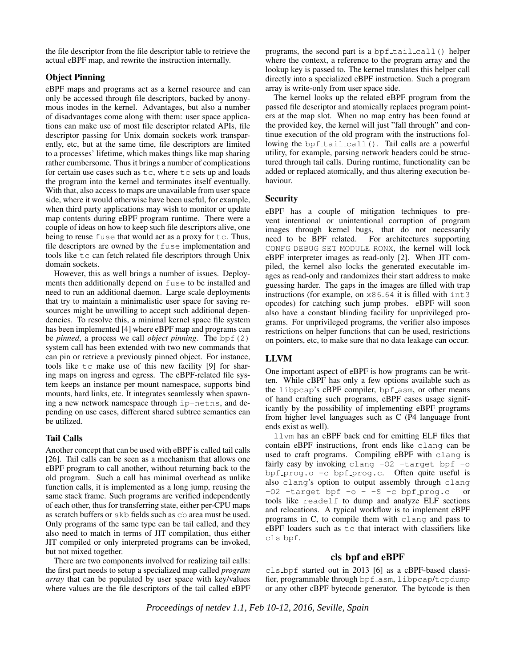the file descriptor from the file descriptor table to retrieve the actual eBPF map, and rewrite the instruction internally.

## Object Pinning

eBPF maps and programs act as a kernel resource and can only be accessed through file descriptors, backed by anonymous inodes in the kernel. Advantages, but also a number of disadvantages come along with them: user space applications can make use of most file descriptor related APIs, file descriptor passing for Unix domain sockets work transparently, etc, but at the same time, file descriptors are limited to a processes' lifetime, which makes things like map sharing rather cumbersome. Thus it brings a number of complications for certain use cases such as  $tc$ , where  $tc$  sets up and loads the program into the kernel and terminates itself eventually. With that, also access to maps are unavailable from user space side, where it would otherwise have been useful, for example, when third party applications may wish to monitor or update map contents during eBPF program runtime. There were a couple of ideas on how to keep such file descriptors alive, one being to reuse fuse that would act as a proxy for tc. Thus, file descriptors are owned by the fuse implementation and tools like tc can fetch related file descriptors through Unix domain sockets.

However, this as well brings a number of issues. Deployments then additionally depend on fuse to be installed and need to run an additional daemon. Large scale deployments that try to maintain a minimalistic user space for saving resources might be unwilling to accept such additional dependencies. To resolve this, a minimal kernel space file system has been implemented [4] where eBPF map and programs can be *pinned*, a process we call *object pinning*. The bpf(2) system call has been extended with two new commands that can pin or retrieve a previously pinned object. For instance, tools like tc make use of this new facility [9] for sharing maps on ingress and egress. The eBPF-related file system keeps an instance per mount namespace, supports bind mounts, hard links, etc. It integrates seamlessly when spawning a new network namespace through ip-netns, and depending on use cases, different shared subtree semantics can be utilized.

## Tail Calls

Another concept that can be used with eBPF is called tail calls [26]. Tail calls can be seen as a mechanism that allows one eBPF program to call another, without returning back to the old program. Such a call has minimal overhead as unlike function calls, it is implemented as a long jump, reusing the same stack frame. Such programs are verified independently of each other, thus for transferring state, either per-CPU maps as scratch buffers or skb fields such as cb area must be used. Only programs of the same type can be tail called, and they also need to match in terms of JIT compilation, thus either JIT compiled or only interpreted programs can be invoked, but not mixed together.

There are two components involved for realizing tail calls: the first part needs to setup a specialized map called *program array* that can be populated by user space with key/values where values are the file descriptors of the tail called eBPF programs, the second part is a bpf\_tail\_call() helper where the context, a reference to the program array and the lookup key is passed to. The kernel translates this helper call directly into a specialized eBPF instruction. Such a program array is write-only from user space side.

The kernel looks up the related eBPF program from the passed file descriptor and atomically replaces program pointers at the map slot. When no map entry has been found at the provided key, the kernel will just "fall through" and continue execution of the old program with the instructions following the bpf\_tail\_call(). Tail calls are a powerful utility, for example, parsing network headers could be structured through tail calls. During runtime, functionality can be added or replaced atomically, and thus altering execution behaviour.

## **Security**

eBPF has a couple of mitigation techniques to prevent intentional or unintentional corruption of program images through kernel bugs, that do not necessarily need to be BPF related. For architectures supporting CONFG DEBUG SET MODULE RONX, the kernel will lock eBPF interpreter images as read-only [2]. When JIT compiled, the kernel also locks the generated executable images as read-only and randomizes their start address to make guessing harder. The gaps in the images are filled with trap instructions (for example, on  $x86-64$  it is filled with  $int3$ opcodes) for catching such jump probes. eBPF will soon also have a constant blinding facility for unprivileged programs. For unprivileged programs, the verifier also imposes restrictions on helper functions that can be used, restrictions on pointers, etc, to make sure that no data leakage can occur.

## LLVM

One important aspect of eBPF is how programs can be written. While cBPF has only a few options available such as the libpcap's cBPF compiler, bpf\_asm, or other means of hand crafting such programs, eBPF eases usage significantly by the possibility of implementing eBPF programs from higher level languages such as C (P4 language front ends exist as well).

llvm has an eBPF back end for emitting ELF files that contain eBPF instructions, front ends like clang can be used to craft programs. Compiling eBPF with clang is fairly easy by invoking clang  $-02$  -target bpf  $-0$ bpf prog.o  $-c$  bpf prog.c. Often quite useful is also clang's option to output assembly through clang  $-02$  -target bpf  $-0 - 5 - c$  bpf prog.c or tools like readelf to dump and analyze ELF sections and relocations. A typical workflow is to implement eBPF programs in C, to compile them with clang and pass to eBPF loaders such as tc that interact with classifiers like cls bpf.

## cls bpf and eBPF

cls bpf started out in 2013 [6] as a cBPF-based classifier, programmable through bpf\_asm, libpcap/tcpdump or any other cBPF bytecode generator. The bytcode is then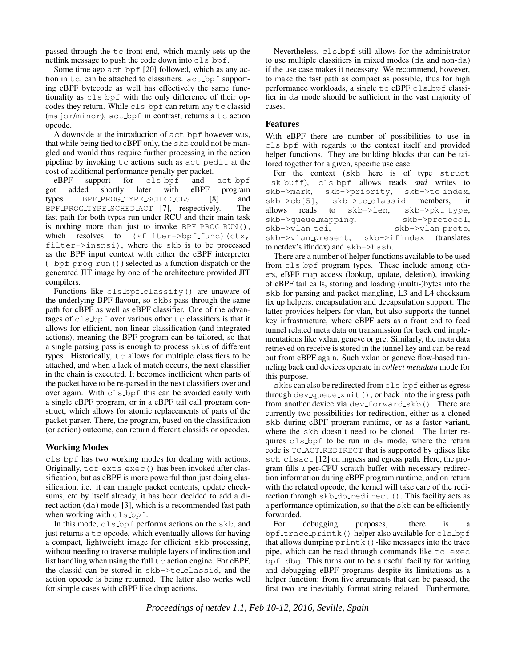passed through the tc front end, which mainly sets up the netlink message to push the code down into cls bpf.

Some time ago act bpf [20] followed, which as any action in  $tc$ , can be attached to classifiers.  $act\_bpf$  supporting cBPF bytecode as well has effectively the same functionality as cls bpf with the only difference of their opcodes they return. While cls bpf can return any tc classid (major/minor), act\_bpf in contrast, returns a tc action opcode.

A downside at the introduction of  $act\_bpf$  however was, that while being tied to cBPF only, the skb could not be mangled and would thus require further processing in the action pipeline by invoking tc actions such as act pedit at the cost of additional performance penalty per packet.

eBPF support for cls\_bpf and act\_bpf<br>t added shortly later with eBPF program got added shortly later with eBPF program<br>types BPF\_PROG\_TYPE\_SCHED\_CLS [8] and types BPF PROG TYPE SCHED CLS [8] and BPF PROG TYPE SCHED ACT [7], respectively. The fast path for both types run under RCU and their main task is nothing more than just to invoke BPF\_PROG\_RUN(), which resolves to  $(*filter->bpf_time)$  (ctx, filter->insnsi), where the skb is to be processed as the BPF input context with either the eBPF interpreter (\_bpf\_prog\_run()) selected as a function dispatch or the generated JIT image by one of the architecture provided JIT compilers.

Functions like cls\_bpf\_classify() are unaware of the underlying BPF flavour, so skbs pass through the same path for cBPF as well as eBPF classifier. One of the advantages of cls bpf over various other tc classifiers is that it allows for efficient, non-linear classification (and integrated actions), meaning the BPF program can be tailored, so that a single parsing pass is enough to process skbs of different types. Historically, tc allows for multiple classifiers to be attached, and when a lack of match occurs, the next classifier in the chain is executed. It becomes inefficient when parts of the packet have to be re-parsed in the next classifiers over and over again. With cls bpf this can be avoided easily with a single eBPF program, or in a eBPF tail call program construct, which allows for atomic replacements of parts of the packet parser. There, the program, based on the classification (or action) outcome, can return different classids or opcodes.

### Working Modes

cls bpf has two working modes for dealing with actions. Originally, tcf exts exec() has been invoked after classification, but as eBPF is more powerful than just doing classification, i.e. it can mangle packet contents, update checksums, etc by itself already, it has been decided to add a direct action (da) mode [3], which is a recommended fast path when working with cls\_bpf.

In this mode, cls bpf performs actions on the skb, and just returns a  $tc$  opcode, which eventually allows for having a compact, lightweight image for efficient skb processing, without needing to traverse multiple layers of indirection and list handling when using the full  $\pm c$  action engine. For eBPF, the classid can be stored in skb->tc classid, and the action opcode is being returned. The latter also works well for simple cases with cBPF like drop actions.

Nevertheless, cls bpf still allows for the administrator to use multiple classifiers in mixed modes (da and non-da) if the use case makes it necessary. We recommend, however, to make the fast path as compact as possible, thus for high performance workloads, a single tc eBPF cls\_bpf classifier in da mode should be sufficient in the vast majority of cases.

## Features

With eBPF there are number of possibilities to use in cls bpf with regards to the context itself and provided helper functions. They are building blocks that can be tailored together for a given, specific use case.

For the context (skb here is of type struct sk buff), cls bpf allows reads *and* writes to skb->mark, skb->priority, skb->tc index, skb->cb[5], skb->tc classid members, it allows reads to skb->len, skb->pkt\_type, skb->queue\_mapping, skb->protocol, skb->vlan\_tci, skb->vlan\_proto, skb->vlan present, skb->ifindex (translates to netdev's ifindex) and skb->hash.

There are a number of helper functions available to be used from cls bpf program types. These include among others, eBPF map access (lookup, update, deletion), invoking of eBPF tail calls, storing and loading (multi-)bytes into the skb for parsing and packet mangling, L3 and L4 checksum fix up helpers, encapsulation and decapsulation support. The latter provides helpers for vlan, but also supports the tunnel key infrastructure, where eBPF acts as a front end to feed tunnel related meta data on transmission for back end implementations like vxlan, geneve or gre. Similarly, the meta data retrieved on receive is stored in the tunnel key and can be read out from eBPF again. Such vxlan or geneve flow-based tunneling back end devices operate in *collect metadata* mode for this purpose.

skbs can also be redirected from cls\_bpf either as egress through  $dev$ -queue  $xmit$ ), or back into the ingress path from another device via  $dev_f$ orward skb $()$ . There are currently two possibilities for redirection, either as a cloned skb during eBPF program runtime, or as a faster variant, where the skb doesn't need to be cloned. The latter requires cls bpf to be run in da mode, where the return code is TC ACT REDIRECT that is supported by qdiscs like sch clsact [12] on ingress and egress path. Here, the program fills a per-CPU scratch buffer with necessary redirection information during eBPF program runtime, and on return with the related opcode, the kernel will take care of the redirection through skb\_do\_redirect(). This facility acts as a performance optimization, so that the skb can be efficiently forwarded.

For debugging purposes, there is a bpf\_trace\_printk() helper also available for cls\_bpf that allows dumping  $print(k)$ -like messages into the trace pipe, which can be read through commands like tc exec bpf dbg. This turns out to be a useful facility for writing and debugging eBPF programs despite its limitations as a helper function: from five arguments that can be passed, the first two are inevitably format string related. Furthermore,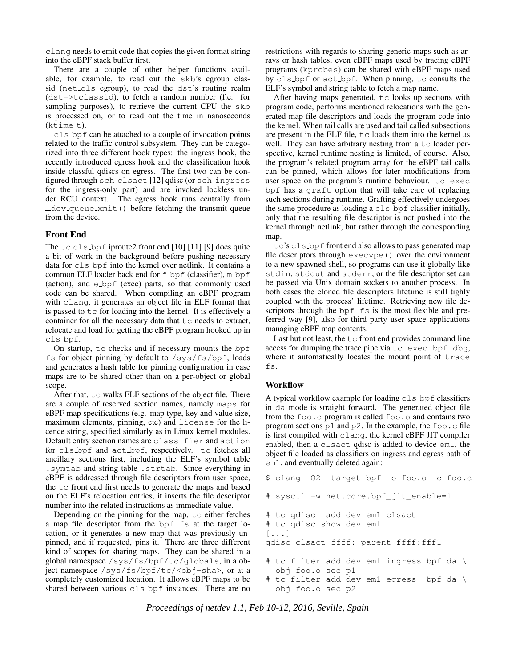clang needs to emit code that copies the given format string into the eBPF stack buffer first.

There are a couple of other helper functions available, for example, to read out the skb's cgroup classid (net\_cls cgroup), to read the dst's routing realm (dst->tclassid), to fetch a random number (f.e. for sampling purposes), to retrieve the current CPU the skb is processed on, or to read out the time in nanoseconds  $($ ktime\_t $).$ 

cls bpf can be attached to a couple of invocation points related to the traffic control subsystem. They can be categorized into three different hook types: the ingress hook, the recently introduced egress hook and the classification hook inside classful qdiscs on egress. The first two can be configured through sch clsact [12] qdisc (or sch ingress for the ingress-only part) and are invoked lockless under RCU context. The egress hook runs centrally from dev queue xmit() before fetching the transmit queue from the device.

## Front End

The tc cls bpf iproute2 front end [10] [11] [9] does quite a bit of work in the background before pushing necessary data for cls bpf into the kernel over netlink. It contains a common ELF loader back end for  $f_{\text{opt}}$  (classifier), m bpf (action), and e bpf (exec) parts, so that commonly used code can be shared. When compiling an eBPF program with clang, it generates an object file in ELF format that is passed to  $\pm c$  for loading into the kernel. It is effectively a container for all the necessary data that tc needs to extract, relocate and load for getting the eBPF program hooked up in cls bpf.

On startup,  $\pm c$  checks and if necessary mounts the bpf fs for object pinning by default to  $\sqrt{s}$ ys/fs/bpf, loads and generates a hash table for pinning configuration in case maps are to be shared other than on a per-object or global scope.

After that,  $tc$  walks ELF sections of the object file. There are a couple of reserved section names, namely maps for eBPF map specifications (e.g. map type, key and value size, maximum elements, pinning, etc) and license for the licence string, specified similarly as in Linux kernel modules. Default entry section names are classifier and action for cls bpf and act bpf, respectively. tc fetches all ancillary sections first, including the ELF's symbol table .symtab and string table .strtab. Since everything in eBPF is addressed through file descriptors from user space, the tc front end first needs to generate the maps and based on the ELF's relocation entries, it inserts the file descriptor number into the related instructions as immediate value.

Depending on the pinning for the map,  $tc$  either fetches a map file descriptor from the bpf fs at the target location, or it generates a new map that was previously unpinned, and if requested, pins it. There are three different kind of scopes for sharing maps. They can be shared in a global namespace /sys/fs/bpf/tc/globals, in a object namespace /sys/fs/bpf/tc/<obj-sha>, or at a completely customized location. It allows eBPF maps to be shared between various cls bpf instances. There are no restrictions with regards to sharing generic maps such as arrays or hash tables, even eBPF maps used by tracing eBPF programs (kprobes) can be shared with eBPF maps used by cls bpf or act bpf. When pinning, tc consults the ELF's symbol and string table to fetch a map name.

After having maps generated,  $tc$  looks up sections with program code, performs mentioned relocations with the generated map file descriptors and loads the program code into the kernel. When tail calls are used and tail called subsections are present in the ELF file,  $tc$  loads them into the kernel as well. They can have arbitrary nesting from a  $tc$  loader perspective, kernel runtime nesting is limited, of course. Also, the program's related program array for the eBPF tail calls can be pinned, which allows for later modifications from user space on the program's runtime behaviour. tc exec bpf has a graft option that will take care of replacing such sections during runtime. Grafting effectively undergoes the same procedure as loading a  $\text{cls}\text{-}\text{bpf}$  classifier initially, only that the resulting file descriptor is not pushed into the kernel through netlink, but rather through the corresponding map.

tc's cls bpf front end also allows to pass generated map file descriptors through execvpe() over the environment to a new spawned shell, so programs can use it globally like stdin, stdout and stderr, or the file descriptor set can be passed via Unix domain sockets to another process. In both cases the cloned file descriptors lifetime is still tighly coupled with the process' lifetime. Retrieving new file descriptors through the bpf fs is the most flexible and preferred way [9], also for third party user space applications managing eBPF map contents.

Last but not least, the  $tc$  front end provides command line access for dumping the trace pipe via tc exec bpf dbg, where it automatically locates the mount point of trace fs.

## Workflow

A typical workflow example for loading cls bpf classifiers in da mode is straight forward. The generated object file from the  $f \circ \circ \circ \circ$  program is called  $f \circ \circ \circ \circ$  and contains two program sections  $p1$  and  $p2$ . In the example, the foo.c file is first compiled with clang, the kernel eBPF JIT compiler enabled, then a clsact qdisc is added to device em1, the object file loaded as classifiers on ingress and egress path of em1, and eventually deleted again:

```
$ clang -O2 -target bpf -o foo.o -c foo.c
# sysctl -w net.core.bpf_jit_enable=1
# tc qdisc add dev em1 clsact
# tc qdisc show dev em1
[...]
qdisc clsact ffff: parent ffff:fff1
# tc filter add dev em1 ingress bpf da \
  obj foo.o sec p1
# tc filter add dev em1 egress bpf da \
  obj foo.o sec p2
```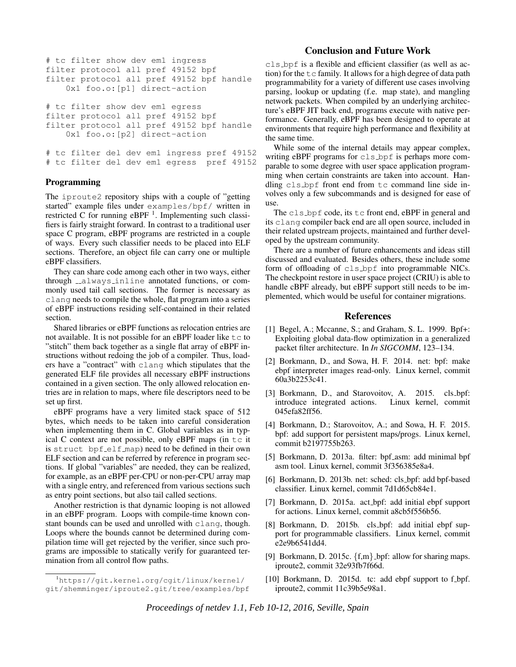```
# tc filter show dev em1 ingress
filter protocol all pref 49152 bpf
filter protocol all pref 49152 bpf handle
   0x1 foo.o:[p1] direct-action
# tc filter show dev em1 egress
filter protocol all pref 49152 bpf
filter protocol all pref 49152 bpf handle
   0x1 foo.o:[p2] direct-action
# tc filter del dev em1 ingress pref 49152
# tc filter del dev em1 egress pref 49152
```
#### Programming

The iproute2 repository ships with a couple of "getting started" example files under examples/bpf/ written in restricted C for running eBPF  $<sup>1</sup>$ . Implementing such classi-</sup> fiers is fairly straight forward. In contrast to a traditional user space C program, eBPF programs are restricted in a couple of ways. Every such classifier needs to be placed into ELF sections. Therefore, an object file can carry one or multiple eBPF classifiers.

They can share code among each other in two ways, either through \_\_always\_inline annotated functions, or commonly used tail call sections. The former is necessary as clang needs to compile the whole, flat program into a series of eBPF instructions residing self-contained in their related section.

Shared libraries or eBPF functions as relocation entries are not available. It is not possible for an eBPF loader like  $tc$  to "stitch" them back together as a single flat array of eBPF instructions without redoing the job of a compiler. Thus, loaders have a "contract" with clang which stipulates that the generated ELF file provides all necessary eBPF instructions contained in a given section. The only allowed relocation entries are in relation to maps, where file descriptors need to be set up first.

eBPF programs have a very limited stack space of 512 bytes, which needs to be taken into careful consideration when implementing them in C. Global variables as in typical  $C$  context are not possible, only eBPF maps (in  $tc$  it is struct bpf elf map) need to be defined in their own ELF section and can be referred by reference in program sections. If global "variables" are needed, they can be realized, for example, as an eBPF per-CPU or non-per-CPU array map with a single entry, and referenced from various sections such as entry point sections, but also tail called sections.

Another restriction is that dynamic looping is not allowed in an eBPF program. Loops with compile-time known constant bounds can be used and unrolled with clang, though. Loops where the bounds cannot be determined during compilation time will get rejected by the verifier, since such programs are impossible to statically verify for guaranteed termination from all control flow paths.

## Conclusion and Future Work

cls bpf is a flexible and efficient classifier (as well as action) for the  $\pm c$  family. It allows for a high degree of data path programmability for a variety of different use cases involving parsing, lookup or updating (f.e. map state), and mangling network packets. When compiled by an underlying architecture's eBPF JIT back end, programs execute with native performance. Generally, eBPF has been designed to operate at environments that require high performance and flexibility at the same time.

While some of the internal details may appear complex, writing eBPF programs for cls\_bpf is perhaps more comparable to some degree with user space application programming when certain constraints are taken into account. Handling cls bpf front end from tc command line side involves only a few subcommands and is designed for ease of use.

The cls bpf code, its tc front end, eBPF in general and its clang compiler back end are all open source, included in their related upstream projects, maintained and further developed by the upstream community.

There are a number of future enhancements and ideas still discussed and evaluated. Besides others, these include some form of offloading of cls bpf into programmable NICs. The checkpoint restore in user space project (CRIU) is able to handle cBPF already, but eBPF support still needs to be implemented, which would be useful for container migrations.

#### References

- [1] Begel, A.; Mccanne, S.; and Graham, S. L. 1999. Bpf+: Exploiting global data-flow optimization in a generalized packet filter architecture. In *In SIGCOMM*, 123–134.
- [2] Borkmann, D., and Sowa, H. F. 2014. net: bpf: make ebpf interpreter images read-only. Linux kernel, commit 60a3b2253c41.
- [3] Borkmann, D., and Starovoitov, A. 2015. cls\_bpf: introduce integrated actions. Linux kernel, commit 045efa82ff56.
- [4] Borkmann, D.; Starovoitov, A.; and Sowa, H. F. 2015. bpf: add support for persistent maps/progs. Linux kernel, commit b2197755b263.
- [5] Borkmann, D. 2013a. filter: bpf\_asm: add minimal bpf asm tool. Linux kernel, commit 3f356385e8a4.
- [6] Borkmann, D. 2013b. net: sched: cls\_bpf: add bpf-based classifier. Linux kernel, commit 7d1d65cb84e1.
- [7] Borkmann, D. 2015a. act\_bpf: add initial ebpf support for actions. Linux kernel, commit a8cb5f556b56.
- [8] Borkmann, D. 2015b. cls\_bpf: add initial ebpf support for programmable classifiers. Linux kernel, commit e2e9b6541dd4.
- [9] Borkmann, D. 2015c.  $\{f,m\}$  bpf: allow for sharing maps. iproute2, commit 32e93fb7f66d.
- [10] Borkmann, D. 2015d. tc: add ebpf support to f\_bpf. iproute2, commit 11c39b5e98a1.

<sup>1</sup>https://git.kernel.org/cgit/linux/kernel/ git/shemminger/iproute2.git/tree/examples/bpf